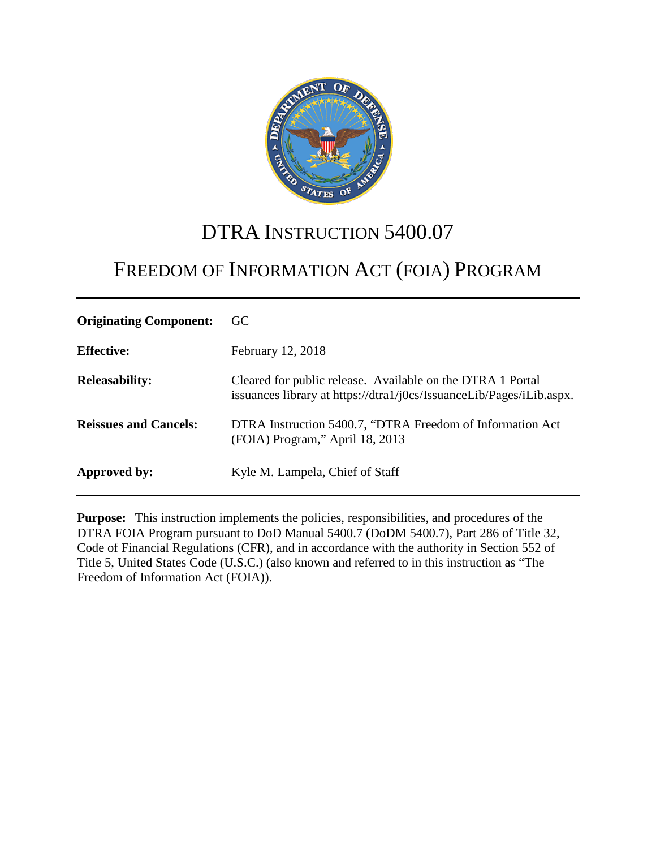

# DTRA INSTRUCTION 5400.07

# FREEDOM OF INFORMATION ACT (FOIA) PROGRAM

| <b>Originating Component:</b> | <b>GC</b>                                                                                                                          |
|-------------------------------|------------------------------------------------------------------------------------------------------------------------------------|
| <b>Effective:</b>             | February 12, 2018                                                                                                                  |
| <b>Releasability:</b>         | Cleared for public release. Available on the DTRA 1 Portal<br>issuances library at https://dtra1/j0cs/IssuanceLib/Pages/iLib.aspx. |
| <b>Reissues and Cancels:</b>  | DTRA Instruction 5400.7, "DTRA Freedom of Information Act<br>(FOIA) Program," April 18, 2013                                       |
| Approved by:                  | Kyle M. Lampela, Chief of Staff                                                                                                    |

**Purpose:** This instruction implements the policies, responsibilities, and procedures of the DTRA FOIA Program pursuant to DoD Manual 5400.7 (DoDM 5400.7), Part 286 of Title 32, Code of Financial Regulations (CFR), and in accordance with the authority in Section 552 of Title 5, United States Code (U.S.C.) (also known and referred to in this instruction as "The Freedom of Information Act (FOIA)).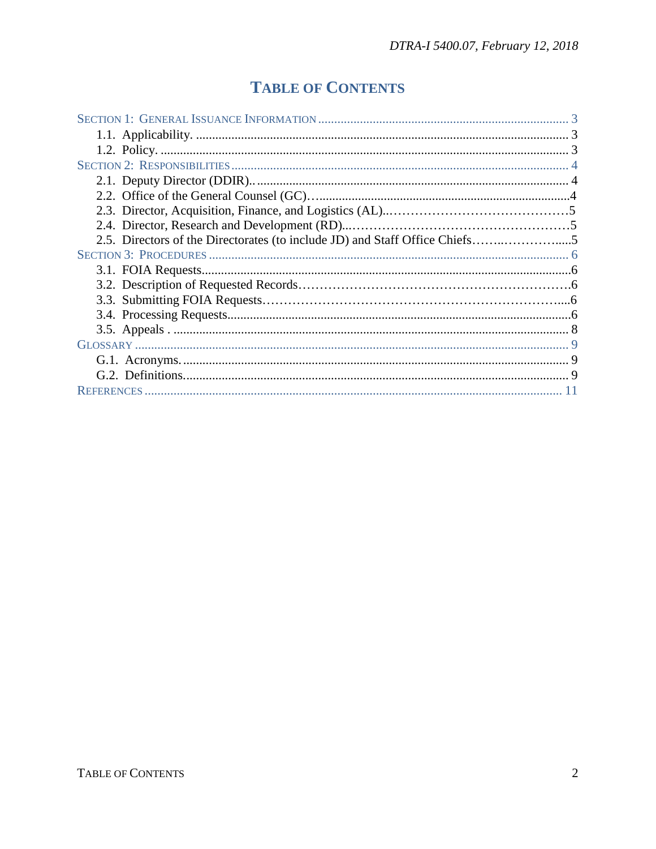# **TABLE OF CONTENTS**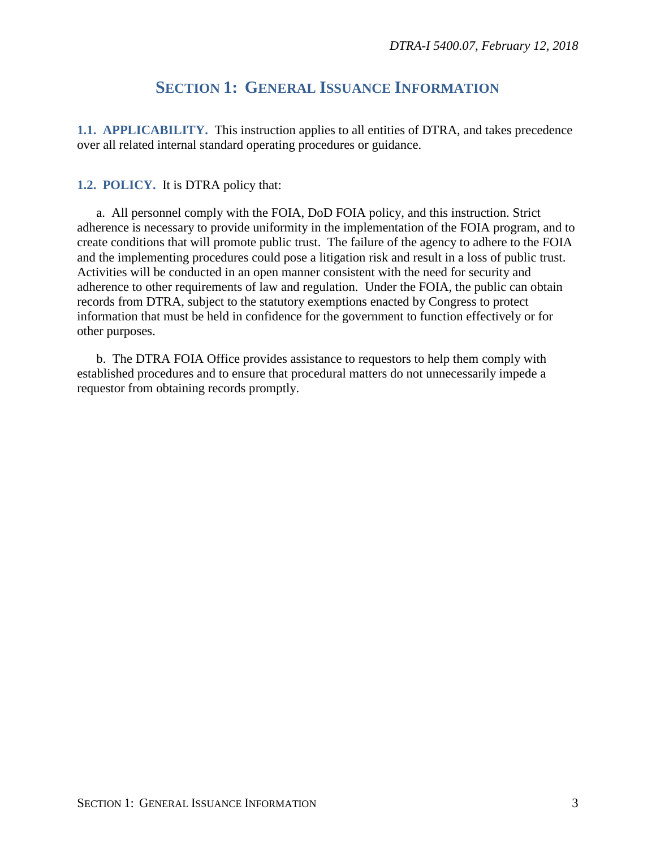## **SECTION 1: GENERAL ISSUANCE INFORMATION**

<span id="page-2-1"></span><span id="page-2-0"></span>**1.1. APPLICABILITY.** This instruction applies to all entities of DTRA, and takes precedence over all related internal standard operating procedures or guidance.

### <span id="page-2-2"></span>**1.2. POLICY.** It is DTRA policy that:

a. All personnel comply with the FOIA, DoD FOIA policy, and this instruction. Strict adherence is necessary to provide uniformity in the implementation of the FOIA program, and to create conditions that will promote public trust. The failure of the agency to adhere to the FOIA and the implementing procedures could pose a litigation risk and result in a loss of public trust. Activities will be conducted in an open manner consistent with the need for security and adherence to other requirements of law and regulation. Under the FOIA, the public can obtain records from DTRA, subject to the statutory exemptions enacted by Congress to protect information that must be held in confidence for the government to function effectively or for other purposes.

b. The DTRA FOIA Office provides assistance to requestors to help them comply with established procedures and to ensure that procedural matters do not unnecessarily impede a requestor from obtaining records promptly.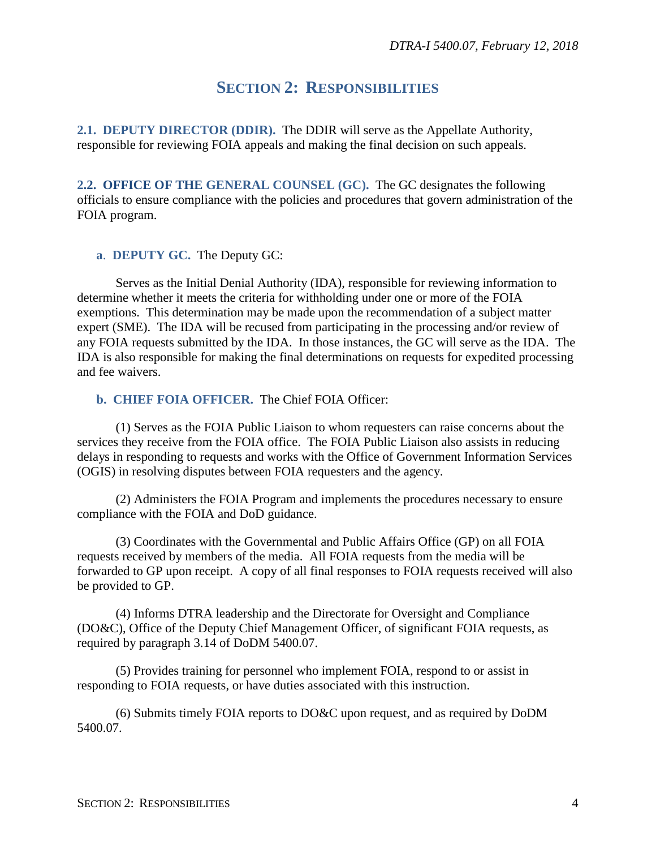## **SECTION 2: RESPONSIBILITIES**

<span id="page-3-1"></span><span id="page-3-0"></span>**2.1. DEPUTY DIRECTOR (DDIR).** The DDIR will serve as the Appellate Authority, responsible for reviewing FOIA appeals and making the final decision on such appeals.

**2.2. OFFICE OF THE GENERAL COUNSEL (GC).** The GC designates the following officials to ensure compliance with the policies and procedures that govern administration of the FOIA program.

#### **a**. **DEPUTY GC.** The Deputy GC:

Serves as the Initial Denial Authority (IDA), responsible for reviewing information to determine whether it meets the criteria for withholding under one or more of the FOIA exemptions. This determination may be made upon the recommendation of a subject matter expert (SME). The IDA will be recused from participating in the processing and/or review of any FOIA requests submitted by the IDA. In those instances, the GC will serve as the IDA. The IDA is also responsible for making the final determinations on requests for expedited processing and fee waivers.

#### **b. CHIEF FOIA OFFICER.** The Chief FOIA Officer:

(1) Serves as the FOIA Public Liaison to whom requesters can raise concerns about the services they receive from the FOIA office. The FOIA Public Liaison also assists in reducing delays in responding to requests and works with the Office of Government Information Services (OGIS) in resolving disputes between FOIA requesters and the agency.

(2) Administers the FOIA Program and implements the procedures necessary to ensure compliance with the FOIA and DoD guidance.

(3) Coordinates with the Governmental and Public Affairs Office (GP) on all FOIA requests received by members of the media. All FOIA requests from the media will be forwarded to GP upon receipt. A copy of all final responses to FOIA requests received will also be provided to GP.

(4) Informs DTRA leadership and the Directorate for Oversight and Compliance (DO&C), Office of the Deputy Chief Management Officer, of significant FOIA requests, as required by paragraph 3.14 of DoDM 5400.07.

(5) Provides training for personnel who implement FOIA, respond to or assist in responding to FOIA requests, or have duties associated with this instruction.

(6) Submits timely FOIA reports to DO&C upon request, and as required by DoDM 5400.07.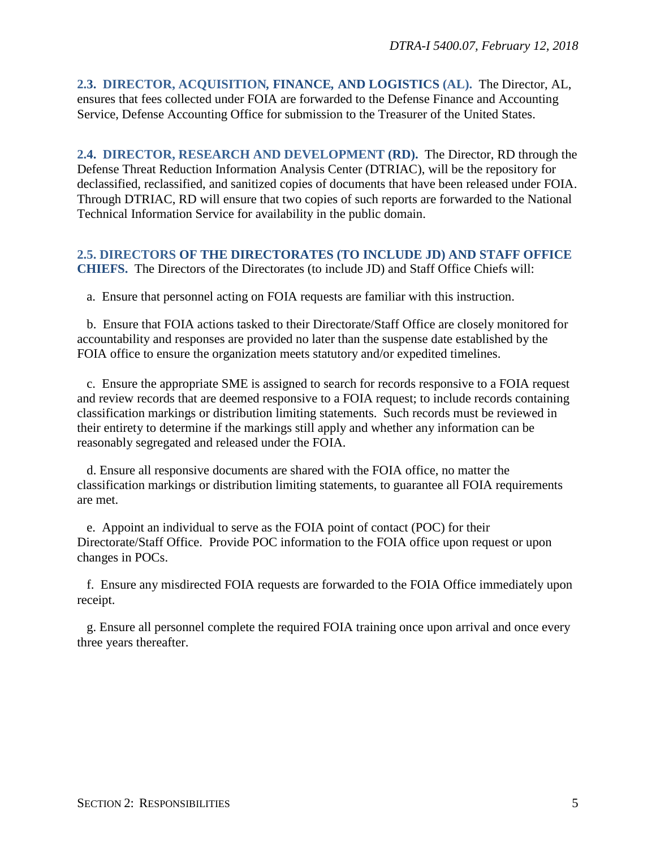**2.3. DIRECTOR, ACQUISITION***,* **FINANCE***,* **AND LOGISTICS (AL).** The Director, AL, ensures that fees collected under FOIA are forwarded to the Defense Finance and Accounting Service, Defense Accounting Office for submission to the Treasurer of the United States.

**2.4. DIRECTOR, RESEARCH AND DEVELOPMENT (RD).** The Director, RD through the Defense Threat Reduction Information Analysis Center (DTRIAC), will be the repository for declassified, reclassified, and sanitized copies of documents that have been released under FOIA. Through DTRIAC, RD will ensure that two copies of such reports are forwarded to the National Technical Information Service for availability in the public domain.

### **2.5. DIRECTORS OF THE DIRECTORATES (TO INCLUDE JD) AND STAFF OFFICE CHIEFS.** The Directors of the Directorates (to include JD) and Staff Office Chiefs will:

a. Ensure that personnel acting on FOIA requests are familiar with this instruction.

b. Ensure that FOIA actions tasked to their Directorate/Staff Office are closely monitored for accountability and responses are provided no later than the suspense date established by the FOIA office to ensure the organization meets statutory and/or expedited timelines.

c. Ensure the appropriate SME is assigned to search for records responsive to a FOIA request and review records that are deemed responsive to a FOIA request; to include records containing classification markings or distribution limiting statements. Such records must be reviewed in their entirety to determine if the markings still apply and whether any information can be reasonably segregated and released under the FOIA.

d. Ensure all responsive documents are shared with the FOIA office, no matter the classification markings or distribution limiting statements, to guarantee all FOIA requirements are met.

e. Appoint an individual to serve as the FOIA point of contact (POC) for their Directorate/Staff Office. Provide POC information to the FOIA office upon request or upon changes in POCs.

f. Ensure any misdirected FOIA requests are forwarded to the FOIA Office immediately upon receipt.

g. Ensure all personnel complete the required FOIA training once upon arrival and once every three years thereafter.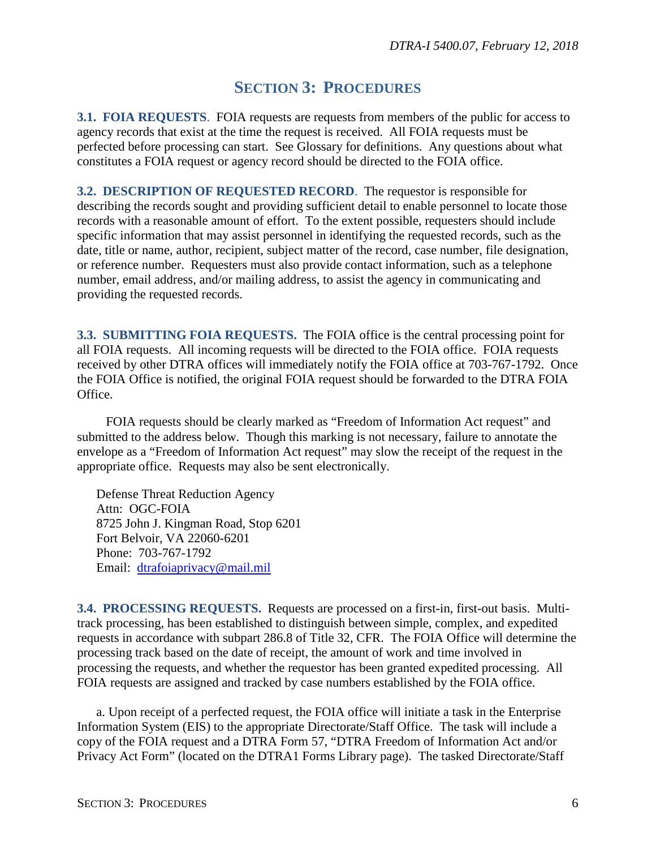### **SECTION 3: PROCEDURES**

**3.1. FOIA REQUESTS**. FOIA requests are requests from members of the public for access to agency records that exist at the time the request is received. All FOIA requests must be perfected before processing can start. See Glossary for definitions. Any questions about what constitutes a FOIA request or agency record should be directed to the FOIA office.

**3.2. DESCRIPTION OF REQUESTED RECORD**.The requestor is responsible for describing the records sought and providing sufficient detail to enable personnel to locate those records with a reasonable amount of effort. To the extent possible, requesters should include specific information that may assist personnel in identifying the requested records, such as the date, title or name, author, recipient, subject matter of the record, case number, file designation, or reference number. Requesters must also provide contact information, such as a telephone number, email address, and/or mailing address, to assist the agency in communicating and providing the requested records.

**3.3. SUBMITTING FOIA REQUESTS.** The FOIA office is the central processing point for all FOIA requests. All incoming requests will be directed to the FOIA office. FOIA requests received by other DTRA offices will immediately notify the FOIA office at 703-767-1792. Once the FOIA Office is notified, the original FOIA request should be forwarded to the DTRA FOIA Office.

FOIA requests should be clearly marked as "Freedom of Information Act request" and submitted to the address below. Though this marking is not necessary, failure to annotate the envelope as a "Freedom of Information Act request" may slow the receipt of the request in the appropriate office. Requests may also be sent electronically.

Defense Threat Reduction Agency Attn: OGC-FOIA 8725 John J. Kingman Road, Stop 6201 Fort Belvoir, VA 22060-6201 Phone: 703-767-1792 Email: [dtrafoiaprivacy@mail.mil](mailto:dtrafoiaprivacy@mail.mil)

<span id="page-5-0"></span>**3.4. PROCESSING REQUESTS.** Requests are processed on a first-in, first-out basis. Multitrack processing, has been established to distinguish between simple, complex, and expedited requests in accordance with subpart 286.8 of Title 32, CFR. The FOIA Office will determine the processing track based on the date of receipt, the amount of work and time involved in processing the requests, and whether the requestor has been granted expedited processing. All FOIA requests are assigned and tracked by case numbers established by the FOIA office.

a. Upon receipt of a perfected request, the FOIA office will initiate a task in the Enterprise Information System (EIS) to the appropriate Directorate/Staff Office. The task will include a copy of the FOIA request and a DTRA Form 57, "DTRA Freedom of Information Act and/or Privacy Act Form" (located on the DTRA1 Forms Library page). The tasked Directorate/Staff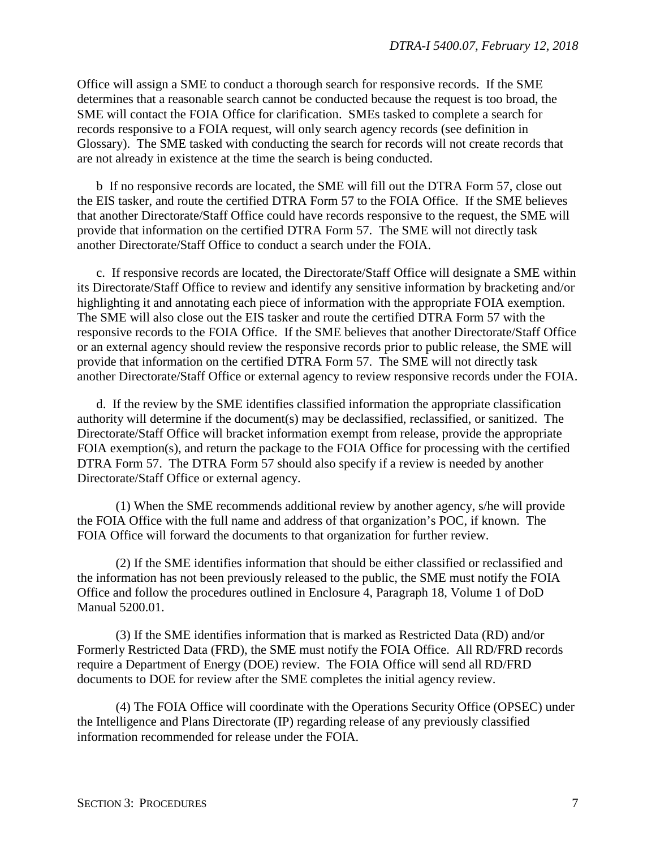Office will assign a SME to conduct a thorough search for responsive records. If the SME determines that a reasonable search cannot be conducted because the request is too broad, the SME will contact the FOIA Office for clarification. SMEs tasked to complete a search for records responsive to a FOIA request, will only search agency records (see definition in Glossary). The SME tasked with conducting the search for records will not create records that are not already in existence at the time the search is being conducted.

b If no responsive records are located, the SME will fill out the DTRA Form 57, close out the EIS tasker, and route the certified DTRA Form 57 to the FOIA Office. If the SME believes that another Directorate/Staff Office could have records responsive to the request, the SME will provide that information on the certified DTRA Form 57. The SME will not directly task another Directorate/Staff Office to conduct a search under the FOIA.

c. If responsive records are located, the Directorate/Staff Office will designate a SME within its Directorate/Staff Office to review and identify any sensitive information by bracketing and/or highlighting it and annotating each piece of information with the appropriate FOIA exemption. The SME will also close out the EIS tasker and route the certified DTRA Form 57 with the responsive records to the FOIA Office. If the SME believes that another Directorate/Staff Office or an external agency should review the responsive records prior to public release, the SME will provide that information on the certified DTRA Form 57. The SME will not directly task another Directorate/Staff Office or external agency to review responsive records under the FOIA.

d. If the review by the SME identifies classified information the appropriate classification authority will determine if the document(s) may be declassified, reclassified, or sanitized. The Directorate/Staff Office will bracket information exempt from release, provide the appropriate FOIA exemption(s), and return the package to the FOIA Office for processing with the certified DTRA Form 57. The DTRA Form 57 should also specify if a review is needed by another Directorate/Staff Office or external agency.

(1) When the SME recommends additional review by another agency, s/he will provide the FOIA Office with the full name and address of that organization's POC, if known. The FOIA Office will forward the documents to that organization for further review.

(2) If the SME identifies information that should be either classified or reclassified and the information has not been previously released to the public, the SME must notify the FOIA Office and follow the procedures outlined in Enclosure 4, Paragraph 18, Volume 1 of DoD Manual 5200.01.

(3) If the SME identifies information that is marked as Restricted Data (RD) and/or Formerly Restricted Data (FRD), the SME must notify the FOIA Office. All RD/FRD records require a Department of Energy (DOE) review. The FOIA Office will send all RD/FRD documents to DOE for review after the SME completes the initial agency review.

(4) The FOIA Office will coordinate with the Operations Security Office (OPSEC) under the Intelligence and Plans Directorate (IP) regarding release of any previously classified information recommended for release under the FOIA.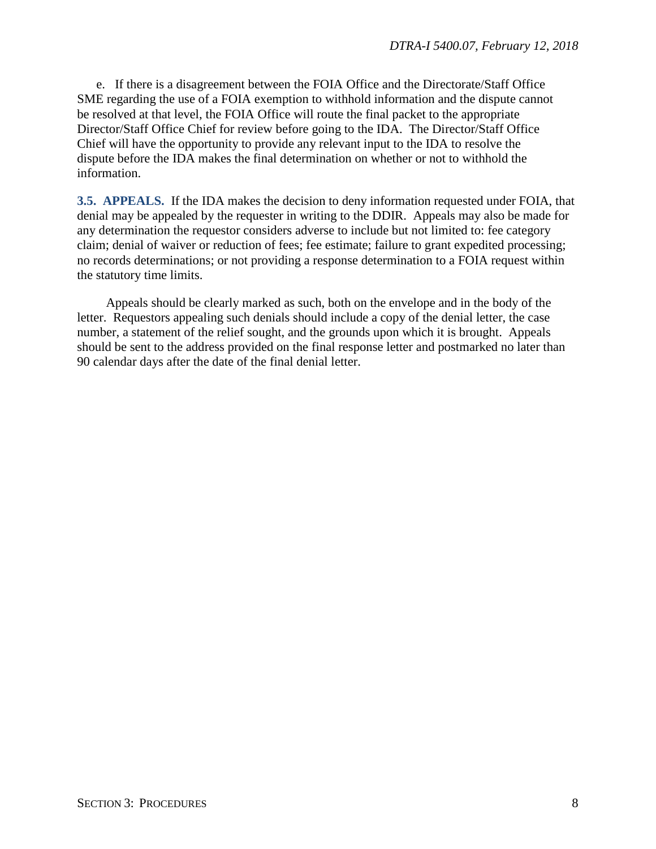e. If there is a disagreement between the FOIA Office and the Directorate/Staff Office SME regarding the use of a FOIA exemption to withhold information and the dispute cannot be resolved at that level, the FOIA Office will route the final packet to the appropriate Director/Staff Office Chief for review before going to the IDA. The Director/Staff Office Chief will have the opportunity to provide any relevant input to the IDA to resolve the dispute before the IDA makes the final determination on whether or not to withhold the information.

**3.5. APPEALS.** If the IDA makes the decision to deny information requested under FOIA, that denial may be appealed by the requester in writing to the DDIR. Appeals may also be made for any determination the requestor considers adverse to include but not limited to: fee category claim; denial of waiver or reduction of fees; fee estimate; failure to grant expedited processing; no records determinations; or not providing a response determination to a FOIA request within the statutory time limits.

Appeals should be clearly marked as such, both on the envelope and in the body of the letter. Requestors appealing such denials should include a copy of the denial letter, the case number, a statement of the relief sought, and the grounds upon which it is brought. Appeals should be sent to the address provided on the final response letter and postmarked no later than 90 calendar days after the date of the final denial letter.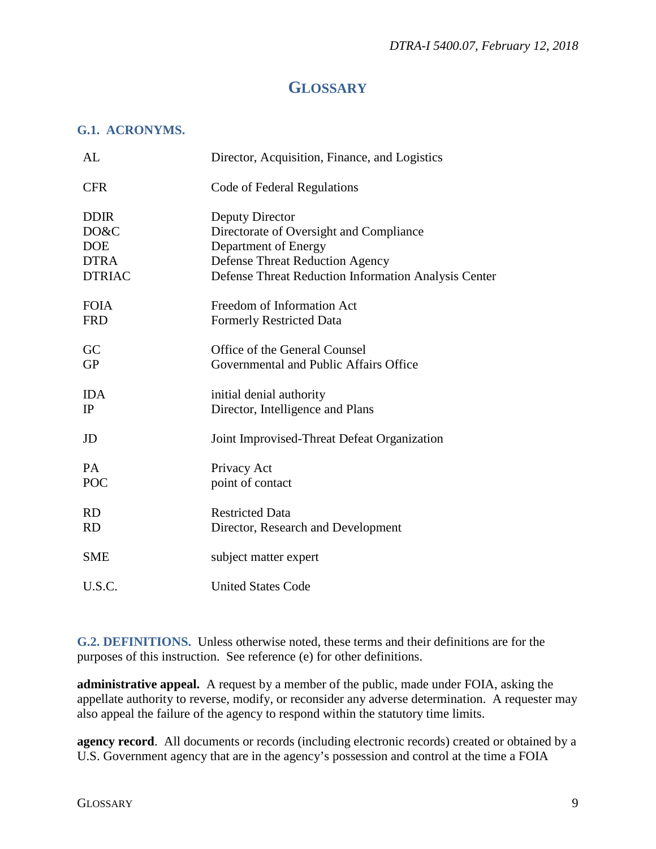## **GLOSSARY**

### <span id="page-8-1"></span><span id="page-8-0"></span>**G.1. ACRONYMS.**

<span id="page-8-2"></span>

| AL            | Director, Acquisition, Finance, and Logistics        |
|---------------|------------------------------------------------------|
| <b>CFR</b>    | Code of Federal Regulations                          |
| <b>DDIR</b>   | Deputy Director                                      |
| DO&C          | Directorate of Oversight and Compliance              |
| <b>DOE</b>    | Department of Energy                                 |
| <b>DTRA</b>   | <b>Defense Threat Reduction Agency</b>               |
| <b>DTRIAC</b> | Defense Threat Reduction Information Analysis Center |
| <b>FOIA</b>   | Freedom of Information Act                           |
| <b>FRD</b>    | <b>Formerly Restricted Data</b>                      |
| GC            | Office of the General Counsel                        |
| <b>GP</b>     | Governmental and Public Affairs Office               |
| <b>IDA</b>    | initial denial authority                             |
| IP            | Director, Intelligence and Plans                     |
| JD            | Joint Improvised-Threat Defeat Organization          |
| PA            | Privacy Act                                          |
| <b>POC</b>    | point of contact                                     |
| <b>RD</b>     | <b>Restricted Data</b>                               |
| <b>RD</b>     | Director, Research and Development                   |
| <b>SME</b>    | subject matter expert                                |
| U.S.C.        | <b>United States Code</b>                            |

**G.2. DEFINITIONS.** Unless otherwise noted, these terms and their definitions are for the purposes of this instruction. See reference (e) for other definitions.

**administrative appeal.** A request by a member of the public, made under FOIA, asking the appellate authority to reverse, modify, or reconsider any adverse determination. A requester may also appeal the failure of the agency to respond within the statutory time limits.

**agency record**. All documents or records (including electronic records) created or obtained by a U.S. Government agency that are in the agency's possession and control at the time a FOIA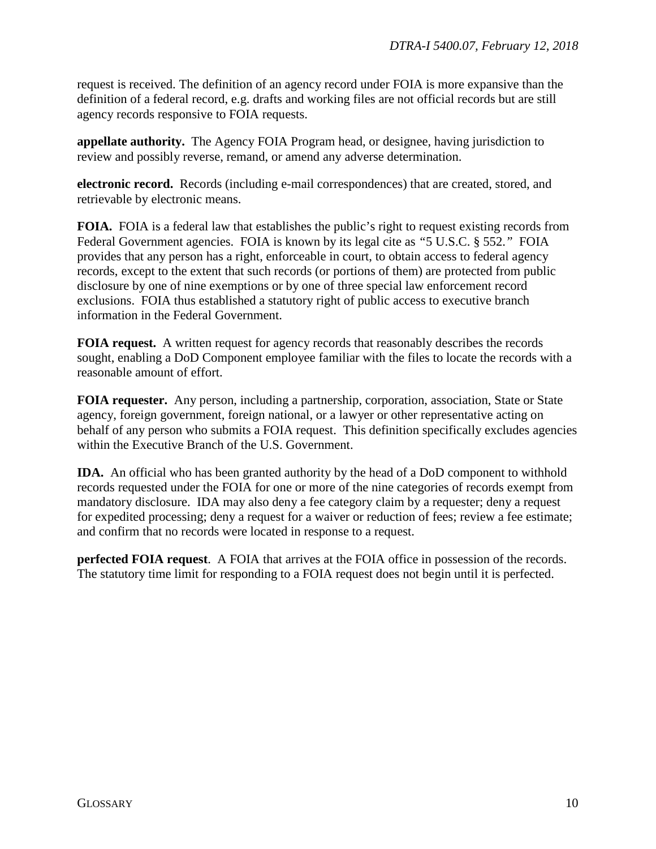request is received. The definition of an agency record under FOIA is more expansive than the definition of a federal record, e.g. drafts and working files are not official records but are still agency records responsive to FOIA requests.

**appellate authority.** The Agency FOIA Program head, or designee, having jurisdiction to review and possibly reverse, remand, or amend any adverse determination.

**electronic record.** Records (including e-mail correspondences) that are created, stored, and retrievable by electronic means.

**FOIA.** FOIA is a federal law that establishes the public's right to request existing records from Federal Government agencies. FOIA is known by its legal cite as *"*5 U.S.C. § 552.*"* FOIA provides that any person has a right, enforceable in court, to obtain access to federal agency records, except to the extent that such records (or portions of them) are protected from public disclosure by one of nine exemptions or by one of three special law enforcement record exclusions. FOIA thus established a statutory right of public access to executive branch information in the Federal Government.

**FOIA request.** A written request for agency records that reasonably describes the records sought, enabling a DoD Component employee familiar with the files to locate the records with a reasonable amount of effort.

**FOIA requester.** Any person, including a partnership, corporation, association, State or State agency, foreign government, foreign national, or a lawyer or other representative acting on behalf of any person who submits a FOIA request. This definition specifically excludes agencies within the Executive Branch of the U.S. Government.

**IDA.** An official who has been granted authority by the head of a DoD component to withhold records requested under the FOIA for one or more of the nine categories of records exempt from mandatory disclosure. IDA may also deny a fee category claim by a requester; deny a request for expedited processing; deny a request for a waiver or reduction of fees; review a fee estimate; and confirm that no records were located in response to a request.

**perfected FOIA request**. A FOIA that arrives at the FOIA office in possession of the records. The statutory time limit for responding to a FOIA request does not begin until it is perfected.